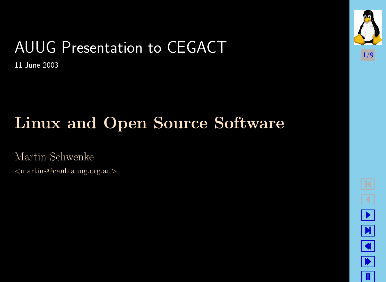## AUUG Presentation to CEGACT

11 June 2003

## Linux and Open Source Software

Martin Schwenke

<martins@canb.auug.org.au>



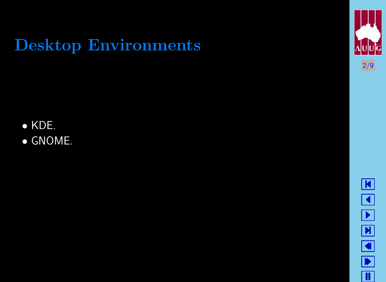### Desktop Environments

• KDE. • GNOME.



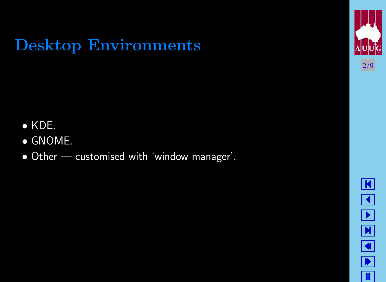### Desktop Environments

• KDE. • GNOME.



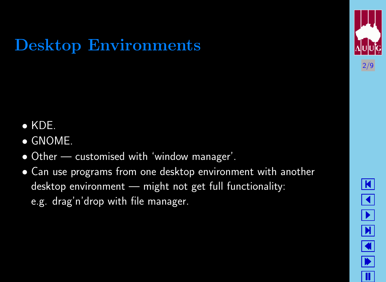### Desktop Environments

• KDE. • GNOME.



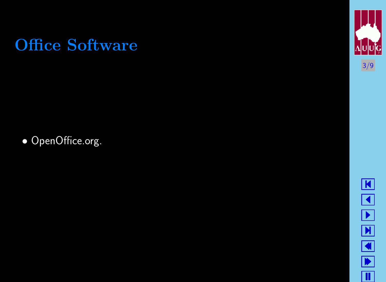

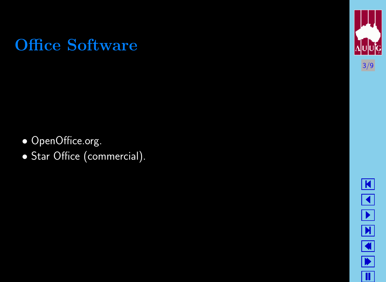

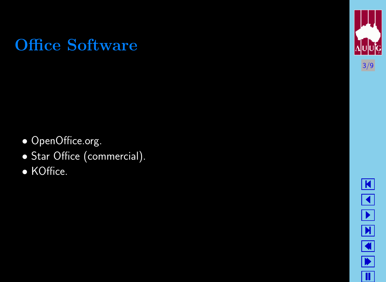

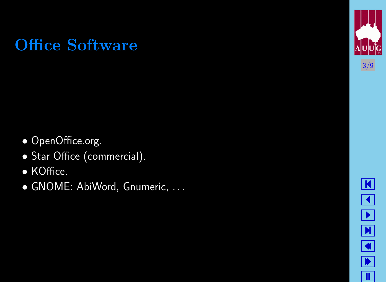

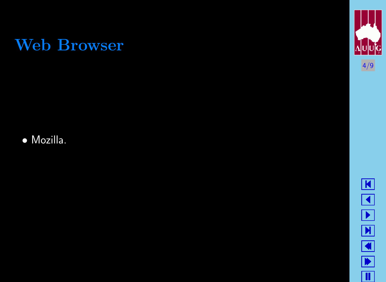

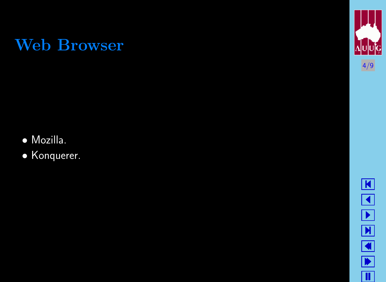

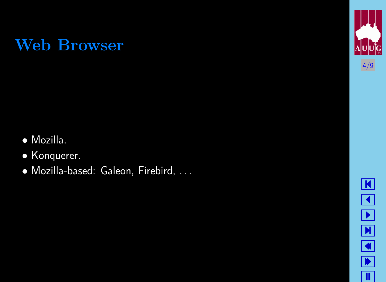

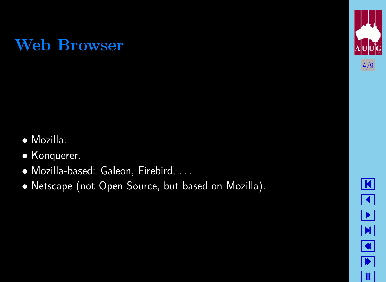

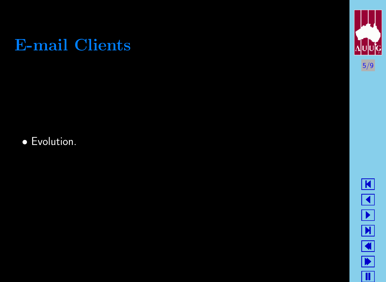

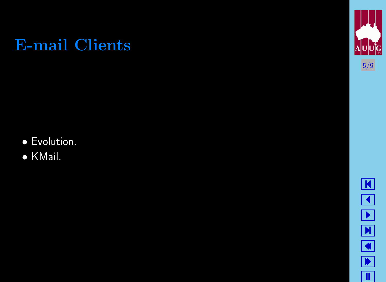

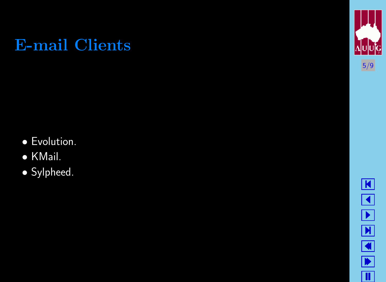

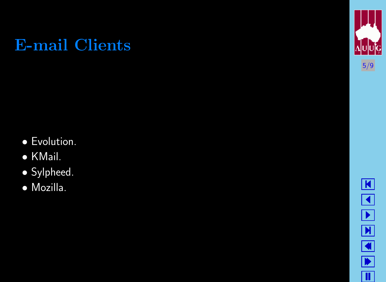

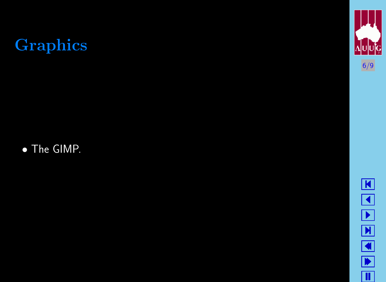# Graphics

• The GIMP.



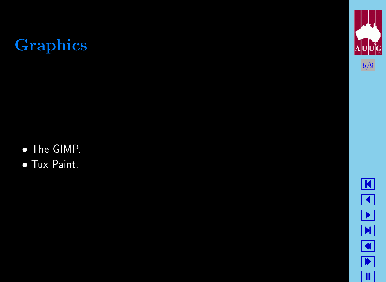# Graphics

• The GIMP.



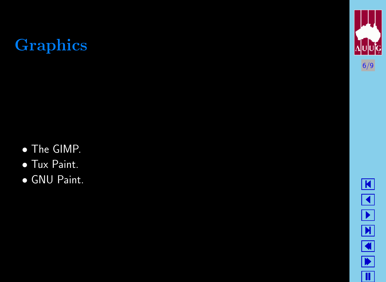# Graphics

• The GIMP.



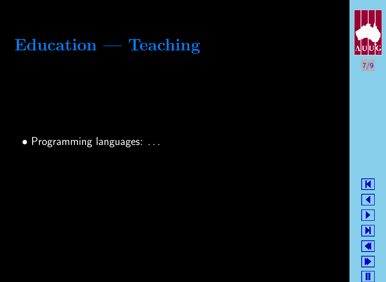

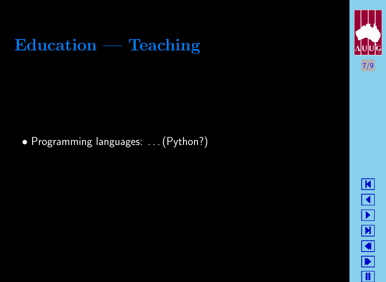



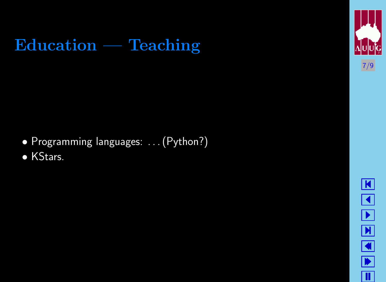



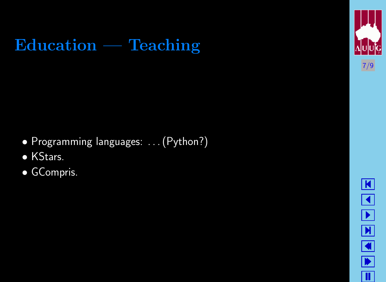



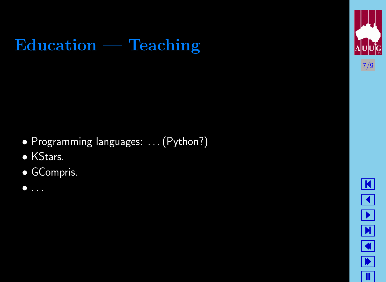



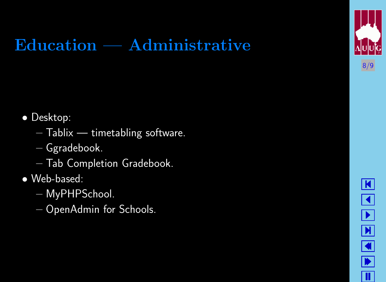## Education — Administrative

- Desktop:
	- $-$  Tablix  $-$  timetabling software.
	- Ggradebook.
	- Tab Completion Gradebook.
- Web-based:
	- MyPHPSchool.
	- OpenAdmin for Schools.



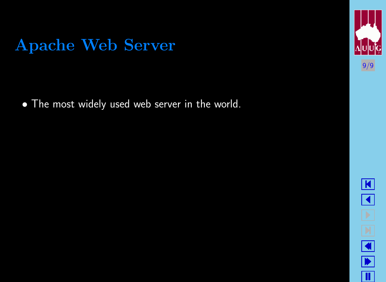#### Apache Web Server

• The most widely used web server in the world.



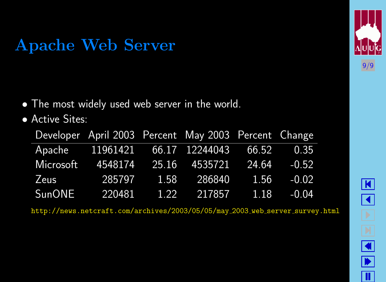#### Apache Web Server

• The most widely used web server in the world.